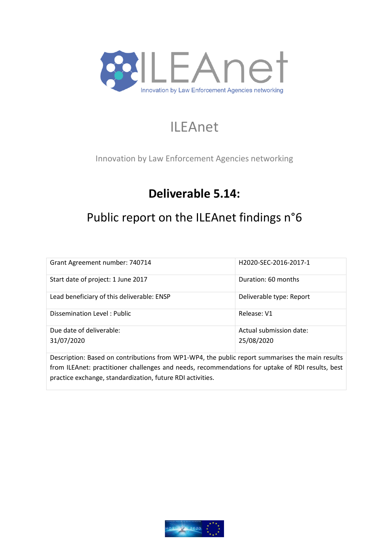

# ILEAnet

Innovation by Law Enforcement Agencies networking

# **Deliverable 5.14:**

# Public report on the ILEAnet findings n°6

| Grant Agreement number: 740714             | H2020-SEC-2016-2017-1    |  |  |
|--------------------------------------------|--------------------------|--|--|
| Start date of project: 1 June 2017         | Duration: 60 months      |  |  |
| Lead beneficiary of this deliverable: ENSP | Deliverable type: Report |  |  |
| Dissemination Level: Public                | Release: V1              |  |  |
| Due date of deliverable:                   | Actual submission date:  |  |  |
| 31/07/2020                                 | 25/08/2020               |  |  |
|                                            |                          |  |  |

Description: Based on contributions from WP1-WP4, the public report summarises the main results from ILEAnet: practitioner challenges and needs, recommendations for uptake of RDI results, best practice exchange, standardization, future RDI activities.

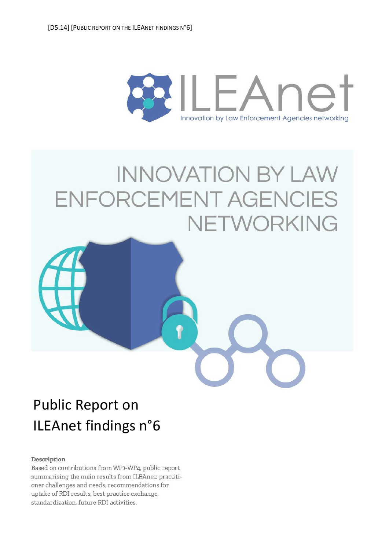<span id="page-1-0"></span>

# **INNOVATION BY LAW** ENFORCEMENT AGENCIES NETWORKING



#### Description

Based on contributions from WP1-WP4, public report summarising the main results from ILEAnet: practitioner challenges and needs, recommendations for uptake of RDI results, best practice exchange, standardization, future RDI activities.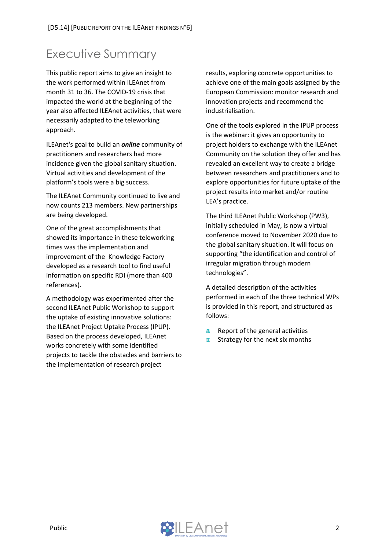### <span id="page-2-0"></span>Executive Summary

This public report aims to give an insight to the work performed within ILEAnet from month 31 to 36. The COVID-19 crisis that impacted the world at the beginning of the year also affected ILEAnet activities, that were necessarily adapted to the teleworking approach.

ILEAnet's goal to build an *online* community of practitioners and researchers had more incidence given the global sanitary situation. Virtual activities and development of the platform's tools were a big success.

The ILEAnet Community continued to live and now counts 213 members. New partnerships are being developed.

One of the great accomplishments that showed its importance in these teleworking times was the implementation and improvement of the Knowledge Factory developed as a research tool to find useful information on specific RDI (more than 400 references).

A methodology was experimented after the second ILEAnet Public Workshop to support the uptake of existing innovative solutions: the ILEAnet Project Uptake Process (IPUP). Based on the process developed, ILEAnet works concretely with some identified projects to tackle the obstacles and barriers to the implementation of research project

results, exploring concrete opportunities to achieve one of the main goals assigned by the European Commission: monitor research and innovation projects and recommend the industrialisation.

One of the tools explored in the IPUP process is the webinar: it gives an opportunity to project holders to exchange with the ILEAnet Community on the solution they offer and has revealed an excellent way to create a bridge between researchers and practitioners and to explore opportunities for future uptake of the project results into market and/or routine LEA's practice.

The third ILEAnet Public Workshop (PW3), initially scheduled in May, is now a virtual conference moved to November 2020 due to the global sanitary situation. It will focus on supporting "the identification and control of irregular migration through modern technologies".

A detailed description of the activities performed in each of the three technical WPs is provided in this report, and structured as follows:

- $\blacksquare$ Report of the general activities
- Strategy for the next six months

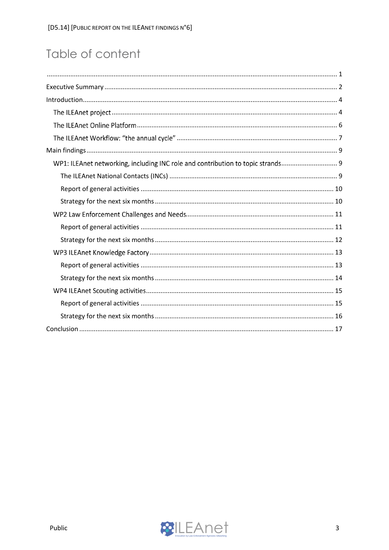# Table of content

| WP1: ILEAnet networking, including INC role and contribution to topic strands 9 |
|---------------------------------------------------------------------------------|
|                                                                                 |
|                                                                                 |
|                                                                                 |
|                                                                                 |
|                                                                                 |
|                                                                                 |
|                                                                                 |
|                                                                                 |
|                                                                                 |
|                                                                                 |
|                                                                                 |
|                                                                                 |
|                                                                                 |

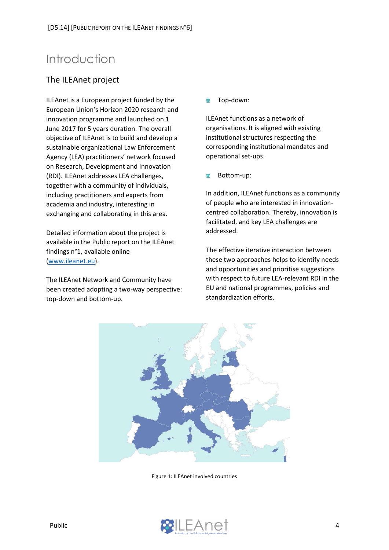## <span id="page-4-0"></span>Introduction

#### <span id="page-4-1"></span>The ILEAnet project

ILEAnet is a European project funded by the European Union's Horizon 2020 research and innovation programme and launched on 1 June 2017 for 5 years duration. The overall objective of ILEAnet is to build and develop a sustainable organizational Law Enforcement Agency (LEA) practitioners' network focused on Research, Development and Innovation (RDI). ILEAnet addresses LEA challenges, together with a community of individuals, including practitioners and experts from academia and industry, interesting in exchanging and collaborating in this area.

Detailed information about the project is available in the Public report on the ILEAnet findings n°1, available online [\(www.ileanet.eu\)](file://///srv-ensp-fic11/enspservices$/DSFR/DRVPD/RECHERCHE/ACTIONS%20DE%20RECHERCHE/1-CE-ILEAnet-H2020-!/3.%20Progression/ILEAnet%20Deliverables/D.5.13/www.ileanet.eu).

The ILEAnet Network and Community have been created adopting a two-way perspective: top-down and bottom-up.

 $\blacksquare$ Top-down:

ILEAnet functions as a network of organisations. It is aligned with existing institutional structures respecting the corresponding institutional mandates and operational set-ups.

Bottom-up:

In addition, ILEAnet functions as a community of people who are interested in innovationcentred collaboration. Thereby, innovation is facilitated, and key LEA challenges are addressed.

The effective iterative interaction between these two approaches helps to identify needs and opportunities and prioritise suggestions with respect to future LEA-relevant RDI in the EU and national programmes, policies and standardization efforts.



Figure 1: ILEAnet involved countries

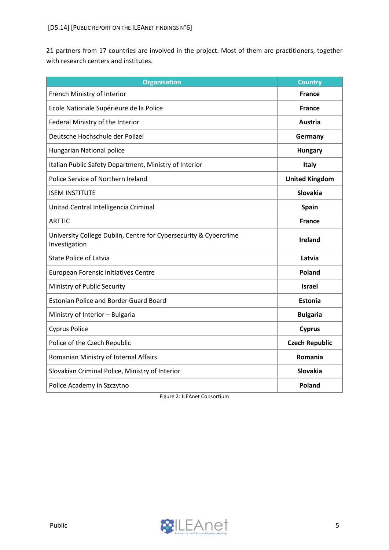21 partners from 17 countries are involved in the project. Most of them are practitioners, together with research centers and institutes.

| <b>Organisation</b>                                                               | <b>Country</b>        |
|-----------------------------------------------------------------------------------|-----------------------|
| French Ministry of Interior                                                       | <b>France</b>         |
| Ecole Nationale Supérieure de la Police                                           | <b>France</b>         |
| Federal Ministry of the Interior                                                  | <b>Austria</b>        |
| Deutsche Hochschule der Polizei                                                   | Germany               |
| Hungarian National police                                                         | <b>Hungary</b>        |
| Italian Public Safety Department, Ministry of Interior                            | <b>Italy</b>          |
| Police Service of Northern Ireland                                                | <b>United Kingdom</b> |
| <b>ISEM INSTITUTE</b>                                                             | <b>Slovakia</b>       |
| Unitad Central Intelligencia Criminal                                             | <b>Spain</b>          |
| <b>ARTTIC</b>                                                                     | <b>France</b>         |
| University College Dublin, Centre for Cybersecurity & Cybercrime<br>Investigation | <b>Ireland</b>        |
| <b>State Police of Latvia</b>                                                     | Latvia                |
| European Forensic Initiatives Centre                                              | <b>Poland</b>         |
| Ministry of Public Security                                                       | <b>Israel</b>         |
| <b>Estonian Police and Border Guard Board</b>                                     | <b>Estonia</b>        |
| Ministry of Interior - Bulgaria                                                   | <b>Bulgaria</b>       |
| <b>Cyprus Police</b>                                                              | <b>Cyprus</b>         |
| Police of the Czech Republic                                                      | <b>Czech Republic</b> |
| Romanian Ministry of Internal Affairs                                             | Romania               |
| Slovakian Criminal Police, Ministry of Interior                                   | Slovakia              |
| Police Academy in Szczytno                                                        | <b>Poland</b>         |

Figure 2: ILEAnet Consortium

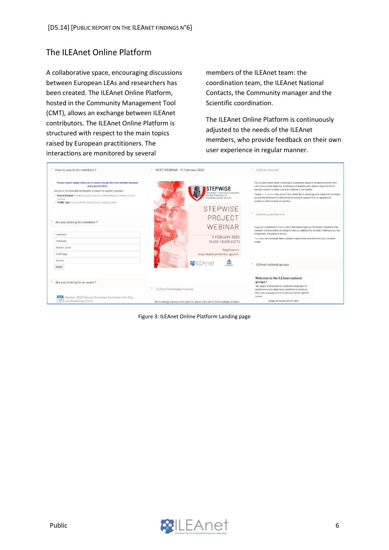#### <span id="page-6-0"></span>The ILEAnet Online Platform

A collaborative space, encouraging discussions between European LEAs and researchers has been created. The ILEAnet Online Platform, hosted in the Community Management Tool (CMT), allows an exchange between ILEAnet contributors. The ILEAnet Online Platform is structured with respect to the main topics raised by European practitioners. The interactions are monitored by several

members of the ILEAnet team: the coordination team, the ILEAnet National Contacts, the Community manager and the Scientific coordination.

The ILEAnet Online Platform is continuously adjusted to the needs of the ILEAnet members, who provide feedback on their own user experience in regular manner.



Figure 3: ILEAnet Online Platform Landing page

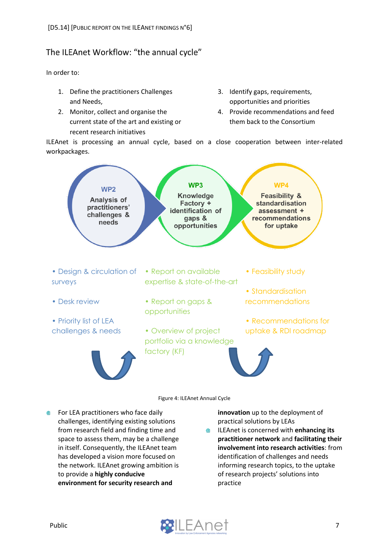#### <span id="page-7-0"></span>The ILEAnet Workflow: "the annual cycle"

In order to:

- 1. Define the practitioners Challenges and Needs,
- 2. Monitor, collect and organise the current state of the art and existing or recent research initiatives
- 3. Identify gaps, requirements, opportunities and priorities
- 4. Provide recommendations and feed them back to the Consortium

ILEAnet is processing an annual cycle, based on a close cooperation between inter-related workpackages.



**EXECUTE:** For LEA practitioners who face daily challenges, identifying existing solutions from research field and finding time and space to assess them, may be a challenge in itself. Consequently, the ILEAnet team has developed a vision more focused on the network. ILEAnet growing ambition is to provide a **highly conducive environment for security research and** 

**innovation** up to the deployment of practical solutions by LEAs

ILEAnet is concerned with **enhancing its**   $\qquad \qquad \bullet$ **practitioner network** and **facilitating their involvement into research activities**: from identification of challenges and needs informing research topics, to the uptake of research projects' solutions into practice

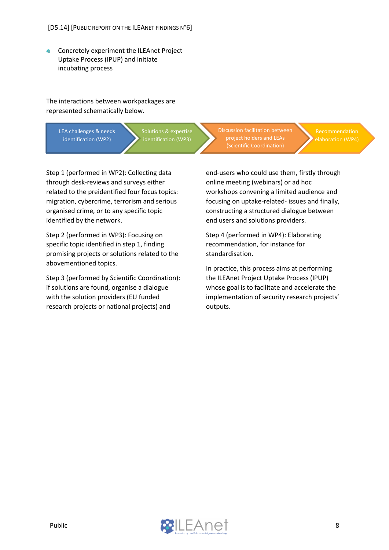Concretely experiment the ILEAnet Project ⋒ Uptake Process (IPUP) and initiate incubating process

The interactions between workpackages are represented schematically below.

> LEA challenges & needs identification (WP2)

Solutions & expertise

Step 1 (performed in WP2): Collecting data through desk-reviews and surveys either related to the preidentified four focus topics: migration, cybercrime, terrorism and serious organised crime, or to any specific topic identified by the network.

Step 2 (performed in WP3): Focusing on specific topic identified in step 1, finding promising projects or solutions related to the abovementioned topics.

Step 3 (performed by Scientific Coordination): if solutions are found, organise a dialogue with the solution providers (EU funded research projects or national projects) and

Discussion facilitation between project holders and LEAs

end-users who could use them, firstly through online meeting (webinars) or ad hoc workshops convening a limited audience and focusing on uptake-related- issues and finally, constructing a structured dialogue between end users and solutions providers.

Step 4 (performed in WP4): Elaborating recommendation, for instance for standardisation.

In practice, this process aims at performing the ILEAnet Project Uptake Process (IPUP) whose goal is to facilitate and accelerate the implementation of security research projects' outputs.

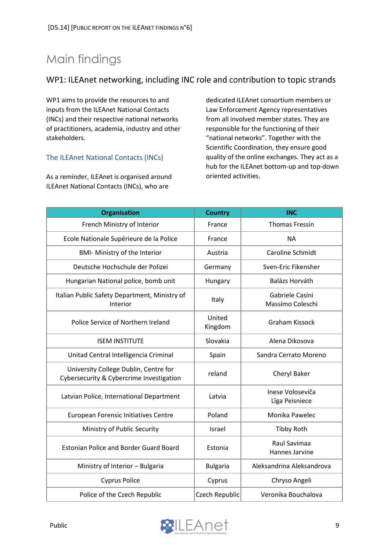# <span id="page-9-0"></span>Main findings

#### <span id="page-9-1"></span>WP1: ILEAnet networking, including INC role and contribution to topic strands

WP1 aims to provide the resources to and inputs from the ILEAnet National Contacts (INCs) and their respective national networks of practitioners, academia, industry and other stakeholders.

#### <span id="page-9-2"></span>The ILEAnet National Contacts (INCs)

As a reminder, ILEAnet is organised around ILEAnet National Contacts (INCs), who are

dedicated ILEAnet consortium members or Law Enforcement Agency representatives from all involved member states. They are responsible for the functioning of their "national networks". Together with the Scientific Coordination, they ensure good quality of the online exchanges. They act as a hub for the ILEAnet bottom-up and top-down oriented activities.

| <b>Organisation</b>                                                               | <b>Country</b>    | <b>INC</b>                          |
|-----------------------------------------------------------------------------------|-------------------|-------------------------------------|
| French Ministry of Interior                                                       | France            | <b>Thomas Fressin</b>               |
| Ecole Nationale Supérieure de la Police                                           | France            | <b>NA</b>                           |
| <b>BMI- Ministry of the Interior</b>                                              | Austria           | Caroline Schmidt                    |
| Deutsche Hochschule der Polizei                                                   | Germany           | Sven-Eric Fikensher                 |
| Hungarian National police, bomb unit                                              | Hungary           | Balázs Horváth                      |
| Italian Public Safety Department, Ministry of<br>Interior                         | Italy             | Gabriele Casini<br>Massimo Coleschi |
| Police Service of Northern Ireland                                                | United<br>Kingdom | Graham Kissock                      |
| <b>ISEM INSTITUTE</b>                                                             | Slovakia          | Alena Dikosova                      |
| Unitad Central Intelligencia Criminal                                             | Spain             | Sandra Cerrato Moreno               |
| University College Dublin, Centre for<br>Cybersecurity & Cybercrime Investigation | reland            | Cheryl Baker                        |
| Latvian Police, International Department                                          | Latvia            | Inese Voloseviča<br>Līga Peisniece  |
| European Forensic Initiatives Centre                                              | Poland            | Monika Pawelec                      |
| Ministry of Public Security                                                       | <b>Israel</b>     | <b>Tibby Roth</b>                   |
| <b>Estonian Police and Border Guard Board</b>                                     | Estonia           | Raul Savimaa<br>Hannes Jarvine      |
| Ministry of Interior - Bulgaria                                                   | <b>Bulgaria</b>   | Aleksandrina Aleksandrova           |
| <b>Cyprus Police</b>                                                              | Cyprus            | Chryso Angeli                       |
| Police of the Czech Republic                                                      | Czech Republic    | Veronika Bouchalova                 |

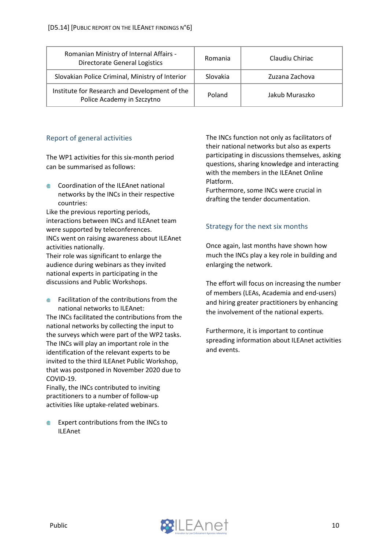| Romanian Ministry of Internal Affairs -<br>Directorate General Logistics    | Romania  | Claudiu Chiriac |
|-----------------------------------------------------------------------------|----------|-----------------|
| Slovakian Police Criminal, Ministry of Interior                             | Slovakia | Zuzana Zachova  |
| Institute for Research and Development of the<br>Police Academy in Szczytno | Poland   | Jakub Muraszko  |

#### <span id="page-10-0"></span>Report of general activities

The WP1 activities for this six-month period can be summarised as follows:

**●** Coordination of the ILEAnet national networks by the INCs in their respective countries:

Like the previous reporting periods, interactions between INCs and ILEAnet team were supported by teleconferences. INCs went on raising awareness about ILEAnet activities nationally.

Their role was significant to enlarge the audience during webinars as they invited national experts in participating in the discussions and Public Workshops.

Facilitation of the contributions from the diffusion in the set national networks to ILEAnet:

The INCs facilitated the contributions from the national networks by collecting the input to the surveys which were part of the WP2 tasks. The INCs will play an important role in the identification of the relevant experts to be invited to the third ILEAnet Public Workshop, that was postponed in November 2020 due to COVID-19.

Finally, the INCs contributed to inviting practitioners to a number of follow-up activities like uptake-related webinars.

Expert contributions from the INCs to ILEAnet

The INCs function not only as facilitators of their national networks but also as experts participating in discussions themselves, asking questions, sharing knowledge and interacting with the members in the ILEAnet Online Platform.

Furthermore, some INCs were crucial in drafting the tender documentation.

#### <span id="page-10-1"></span>Strategy for the next six months

Once again, last months have shown how much the INCs play a key role in building and enlarging the network.

The effort will focus on increasing the number of members (LEAs, Academia and end-users) and hiring greater practitioners by enhancing the involvement of the national experts.

Furthermore, it is important to continue spreading information about ILEAnet activities and events.

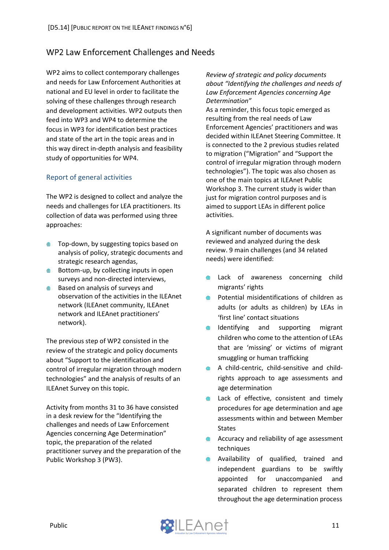#### <span id="page-11-0"></span>WP2 Law Enforcement Challenges and Needs

WP2 aims to collect contemporary challenges and needs for Law Enforcement Authorities at national and EU level in order to facilitate the solving of these challenges through research and development activities. WP2 outputs then feed into WP3 and WP4 to determine the focus in WP3 for identification best practices and state of the art in the topic areas and in this way direct in-depth analysis and feasibility study of opportunities for WP4.

#### <span id="page-11-1"></span>Report of general activities

The WP2 is designed to collect and analyze the needs and challenges for LEA practitioners. Its collection of data was performed using three approaches:

- **Top-down, by suggesting topics based on** analysis of policy, strategic documents and strategic research agendas,
- Bottom-up, by collecting inputs in open surveys and non-directed interviews,
- **●** Based on analysis of surveys and observation of the activities in the ILEAnet network (ILEAnet community, ILEAnet network and ILEAnet practitioners' network).

The previous step of WP2 consisted in the review of the strategic and policy documents about "Support to the identification and control of irregular migration through modern technologies" and the analysis of results of an ILEAnet Survey on this topic.

Activity from months 31 to 36 have consisted in a desk review for the "Identifying the challenges and needs of Law Enforcement Agencies concerning Age Determination" topic, the preparation of the related practitioner survey and the preparation of the Public Workshop 3 (PW3).

*Review of strategic and policy documents about "Identifying the challenges and needs of Law Enforcement Agencies concerning Age Determination"*

As a reminder, this focus topic emerged as resulting from the real needs of Law Enforcement Agencies' practitioners and was decided within ILEAnet Steering Committee. It is connected to the 2 previous studies related to migration ("Migration" and "Support the control of irregular migration through modern technologies"). The topic was also chosen as one of the main topics at ILEAnet Public Workshop 3. The current study is wider than just for migration control purposes and is aimed to support LEAs in different police activities.

A significant number of documents was reviewed and analyzed during the desk review. 9 main challenges (and 34 related needs) were identified:

- Lack of awareness concerning child **AD** migrants' rights
- Potential misidentifications of children as  $\oplus$ adults (or adults as children) by LEAs in 'first line' contact situations
- $\qquad \qquad \oplus$ Identifying and supporting migrant children who come to the attention of LEAs that are 'missing' or victims of migrant smuggling or human trafficking
- A child-centric, child-sensitive and child- $\qquad \qquad \bullet$ rights approach to age assessments and age determination
- Lack of effective, consistent and timely  $\blacksquare$ procedures for age determination and age assessments within and between Member States
- Accuracy and reliability of age assessment  $\oplus$ techniques
- Availability of qualified, trained and ● independent guardians to be swiftly appointed for unaccompanied and separated children to represent them throughout the age determination process

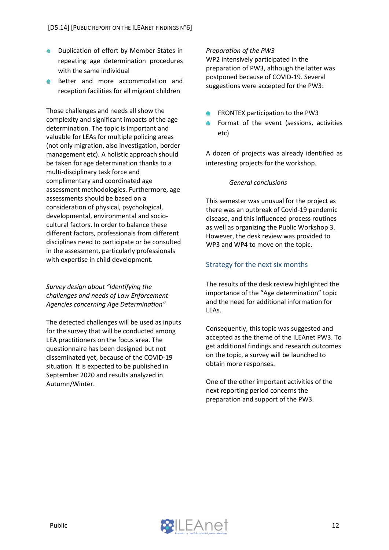- Duplication of effort by Member States in ● repeating age determination procedures with the same individual
- Better and more accommodation and reception facilities for all migrant children

Those challenges and needs all show the complexity and significant impacts of the age determination. The topic is important and valuable for LEAs for multiple policing areas (not only migration, also investigation, border management etc). A holistic approach should be taken for age determination thanks to a multi-disciplinary task force and complimentary and coordinated age assessment methodologies. Furthermore, age assessments should be based on a consideration of physical, psychological, developmental, environmental and sociocultural factors. In order to balance these different factors, professionals from different disciplines need to participate or be consulted in the assessment, particularly professionals with expertise in child development.

*Survey design about "Identifying the challenges and needs of Law Enforcement Agencies concerning Age Determination"*

The detected challenges will be used as inputs for the survey that will be conducted among LEA practitioners on the focus area. The questionnaire has been designed but not disseminated yet, because of the COVID-19 situation. It is expected to be published in September 2020 and results analyzed in Autumn/Winter.

#### *Preparation of the PW3*

WP2 intensively participated in the preparation of PW3, although the latter was postponed because of COVID-19. Several suggestions were accepted for the PW3:

- FRONTEX participation to the PW3
- Format of the event (sessions, activities etc)

A dozen of projects was already identified as interesting projects for the workshop.

#### *General conclusions*

This semester was unusual for the project as there was an outbreak of Covid-19 pandemic disease, and this influenced process routines as well as organizing the Public Workshop 3. However, the desk review was provided to WP3 and WP4 to move on the topic.

#### <span id="page-12-0"></span>Strategy for the next six months

The results of the desk review highlighted the importance of the "Age determination" topic and the need for additional information for LEAs.

Consequently, this topic was suggested and accepted as the theme of the ILEAnet PW3. To get additional findings and research outcomes on the topic, a survey will be launched to obtain more responses.

One of the other important activities of the next reporting period concerns the preparation and support of the PW3.

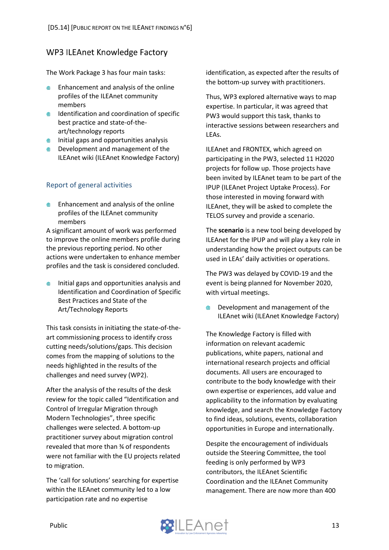#### <span id="page-13-0"></span>**WP3 ILEAnet Knowledge Factory**

The Work Package 3 has four main tasks:

- Enhancement and analysis of the online profiles of the ILEAnet community members
- **IDENTIFICATION AND COORDINATION OF SPECIFIC** best practice and state-of-theart/technology reports
- $\bullet$  Initial gaps and opportunities analysis
- **EXECUTE:** Development and management of the ILEAnet wiki (ILEAnet Knowledge Factory)

#### <span id="page-13-1"></span>Report of general activities

Enhancement and analysis of the online profiles of the ILEAnet community members

A significant amount of work was performed to improve the online members profile during the previous reporting period. No other actions were undertaken to enhance member profiles and the task is considered concluded.

Initial gaps and opportunities analysis and Identification and Coordination of Specific Best Practices and State of the Art/Technology Reports

This task consists in initiating the state-of-theart commissioning process to identify cross cutting needs/solutions/gaps. This decision comes from the mapping of solutions to the needs highlighted in the results of the challenges and need survey (WP2).

After the analysis of the results of the desk review for the topic called "Identification and Control of Irregular Migration through Modern Technologies", three specific challenges were selected. A bottom-up practitioner survey about migration control revealed that more than ¾ of respondents were not familiar with the EU projects related to migration.

The 'call for solutions' searching for expertise within the ILEAnet community led to a low participation rate and no expertise

identification, as expected after the results of the bottom-up survey with practitioners.

Thus, WP3 explored alternative ways to map expertise. In particular, it was agreed that PW3 would support this task, thanks to interactive sessions between researchers and LEAs.

ILEAnet and FRONTEX, which agreed on participating in the PW3, selected 11 H2020 projects for follow up. Those projects have been invited by ILEAnet team to be part of the IPUP (ILEAnet Project Uptake Process). For those interested in moving forward with ILEAnet, they will be asked to complete the TELOS survey and provide a scenario.

The **scenario** is a new tool being developed by ILEAnet for the IPUP and will play a key role in understanding how the project outputs can be used in LEAs' daily activities or operations.

The PW3 was delayed by COVID-19 and the event is being planned for November 2020, with virtual meetings.

Development and management of the  $\oplus$ ILEAnet wiki (ILEAnet Knowledge Factory)

The Knowledge Factory is filled with information on relevant academic publications, white papers, national and international research projects and official documents. All users are encouraged to contribute to the body knowledge with their own expertise or experiences, add value and applicability to the information by evaluating knowledge, and search the Knowledge Factory to find ideas, solutions, events, collaboration opportunities in Europe and internationally.

Despite the encouragement of individuals outside the Steering Committee, the tool feeding is only performed by WP3 contributors, the ILEAnet Scientific Coordination and the ILEAnet Community management. There are now more than 400

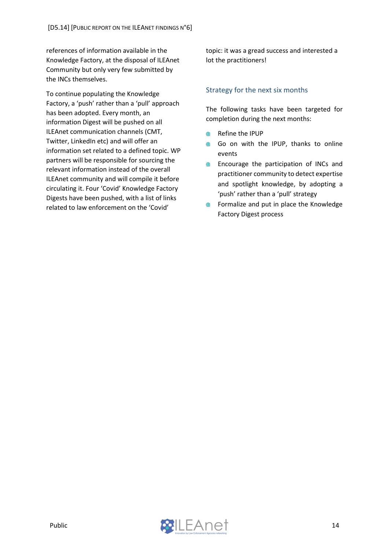references of information available in the Knowledge Factory, at the disposal of ILEAnet Community but only very few submitted by the INCs themselves.

To continue populating the Knowledge Factory, a 'push' rather than a 'pull' approach has been adopted. Every month, an information Digest will be pushed on all ILEAnet communication channels (CMT, Twitter, LinkedIn etc) and will offer an information set related to a defined topic. WP partners will be responsible for sourcing the relevant information instead of the overall ILEAnet community and will compile it before circulating it. Four 'Covid' Knowledge Factory Digests have been pushed, with a list of links related to law enforcement on the 'Covid'

topic: it was a gread success and interested a lot the practitioners!

#### <span id="page-14-0"></span>Strategy for the next six months

The following tasks have been targeted for completion during the next months:

- Refine the IPUP  $\blacksquare$
- Go on with the IPUP, thanks to online  $\oplus$ events
- Encourage the participation of INCs and  $\qquad \qquad \oplus$ practitioner community to detect expertise and spotlight knowledge, by adopting a 'push' rather than a 'pull' strategy
- Formalize and put in place the Knowledge ⊕ Factory Digest process

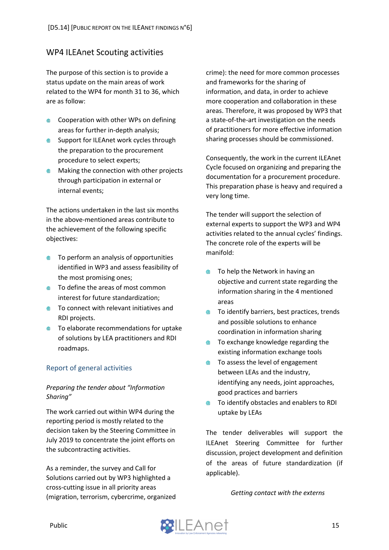#### <span id="page-15-0"></span>**WP4 ILEAnet Scouting activities**

The purpose of this section is to provide a status update on the main areas of work related to the WP4 for month 31 to 36, which are as follow:

- Cooperation with other WPs on defining areas for further in-depth analysis;
- **Support for ILEAnet work cycles through** the preparation to the procurement procedure to select experts;
- **Making the connection with other projects** through participation in external or internal events;

The actions undertaken in the last six months in the above-mentioned areas contribute to the achievement of the following specific objectives:

- **To perform an analysis of opportunities** identified in WP3 and assess feasibility of the most promising ones;
- **●** To define the areas of most common interest for future standardization;
- **■** To connect with relevant initiatives and RDI projects.
- **●** To elaborate recommendations for uptake of solutions by LEA practitioners and RDI roadmaps.

#### <span id="page-15-1"></span>Report of general activities

#### *Preparing the tender about "Information Sharing"*

The work carried out within WP4 during the reporting period is mostly related to the decision taken by the Steering Committee in July 2019 to concentrate the joint efforts on the subcontracting activities.

As a reminder, the survey and Call for Solutions carried out by WP3 highlighted a cross-cutting issue in all priority areas (migration, terrorism, cybercrime, organized crime): the need for more common processes and frameworks for the sharing of information, and data, in order to achieve more cooperation and collaboration in these areas. Therefore, it was proposed by WP3 that a state-of-the-art investigation on the needs of practitioners for more effective information sharing processes should be commissioned.

Consequently, the work in the current ILEAnet Cycle focused on organizing and preparing the documentation for a procurement procedure. This preparation phase is heavy and required a very long time.

The tender will support the selection of external experts to support the WP3 and WP4 activities related to the annual cycles' findings. The concrete role of the experts will be manifold:

- To help the Network in having an  $\qquad \qquad \bullet$ objective and current state regarding the information sharing in the 4 mentioned areas
- To identify barriers, best practices, trends ● and possible solutions to enhance coordination in information sharing
- To exchange knowledge regarding the  $\qquad \qquad \oplus$ existing information exchange tools
- To assess the level of engagement  $\bigoplus$ between LEAs and the industry, identifying any needs, joint approaches, good practices and barriers
- ⊕ To identify obstacles and enablers to RDI uptake by LEAs

The tender deliverables will support the ILEAnet Steering Committee for further discussion, project development and definition of the areas of future standardization (if applicable).

*Getting contact with the externs*

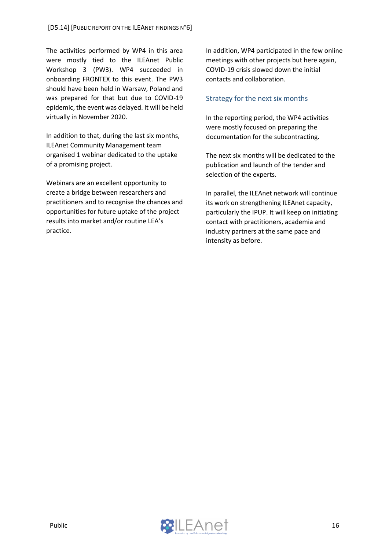The activities performed by WP4 in this area were mostly tied to the ILEAnet Public Workshop 3 (PW3). WP4 succeeded in onboarding FRONTEX to this event. The PW3 should have been held in Warsaw, Poland and was prepared for that but due to COVID-19 epidemic, the event was delayed. It will be held virtually in November 2020.

In addition to that, during the last six months, ILEAnet Community Management team organised 1 webinar dedicated to the uptake of a promising project.

Webinars are an excellent opportunity to create a bridge between researchers and practitioners and to recognise the chances and opportunities for future uptake of the project results into market and/or routine LEA's practice.

In addition, WP4 participated in the few online meetings with other projects but here again, COVID-19 crisis slowed down the initial contacts and collaboration.

#### <span id="page-16-0"></span>Strategy for the next six months

In the reporting period, the WP4 activities were mostly focused on preparing the documentation for the subcontracting.

The next six months will be dedicated to the publication and launch of the tender and selection of the experts.

In parallel, the ILEAnet network will continue its work on strengthening ILEAnet capacity, particularly the IPUP. It will keep on initiating contact with practitioners, academia and industry partners at the same pace and intensity as before.

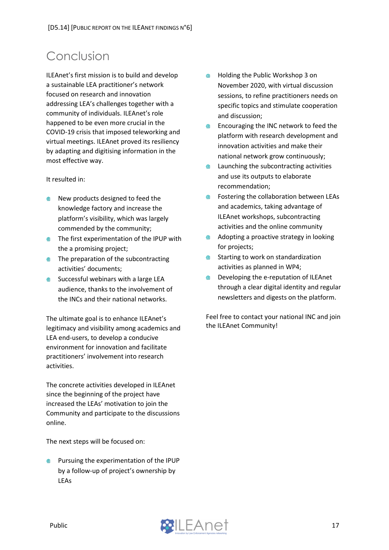# <span id="page-17-0"></span>Conclusion

ILEAnet's first mission is to build and develop a sustainable LEA practitioner's network focused on research and innovation addressing LEA's challenges together with a community of individuals. ILEAnet's role happened to be even more crucial in the COVID-19 crisis that imposed teleworking and virtual meetings. ILEAnet proved its resiliency by adapting and digitising information in the most effective way.

It resulted in:

- New products designed to feed the  $\blacksquare$ knowledge factory and increase the platform's visibility, which was largely commended by the community;
- **The first experimentation of the IPUP with** the a promising project;
- $\bullet$  The preparation of the subcontracting activities' documents;
- **Successful webinars with a large LEA** audience, thanks to the involvement of the INCs and their national networks.

The ultimate goal is to enhance ILEAnet's legitimacy and visibility among academics and LEA end-users, to develop a conducive environment for innovation and facilitate practitioners' involvement into research activities.

The concrete activities developed in ILEAnet since the beginning of the project have increased the LEAs' motivation to join the Community and participate to the discussions online.

The next steps will be focused on:

Pursuing the experimentation of the IPUP by a follow-up of project's ownership by LEAs

- Holding the Public Workshop 3 on  $\qquad \qquad \oplus$ November 2020, with virtual discussion sessions, to refine practitioners needs on specific topics and stimulate cooperation and discussion;
- Encouraging the INC network to feed the  $\qquad \qquad \oplus$ platform with research development and innovation activities and make their national network grow continuously;
- Launching the subcontracting activities ⊕ and use its outputs to elaborate recommendation;
- Fostering the collaboration between LEAs  $\oplus$ and academics, taking advantage of ILEAnet workshops, subcontracting activities and the online community
- Adopting a proactive strategy in looking ⋒ for projects;
- $\qquad \qquad \circledast$ Starting to work on standardization activities as planned in WP4;
- Developing the e-reputation of ILEAnet ● through a clear digital identity and regular newsletters and digests on the platform.

Feel free to contact your national INC and join the ILEAnet Community!